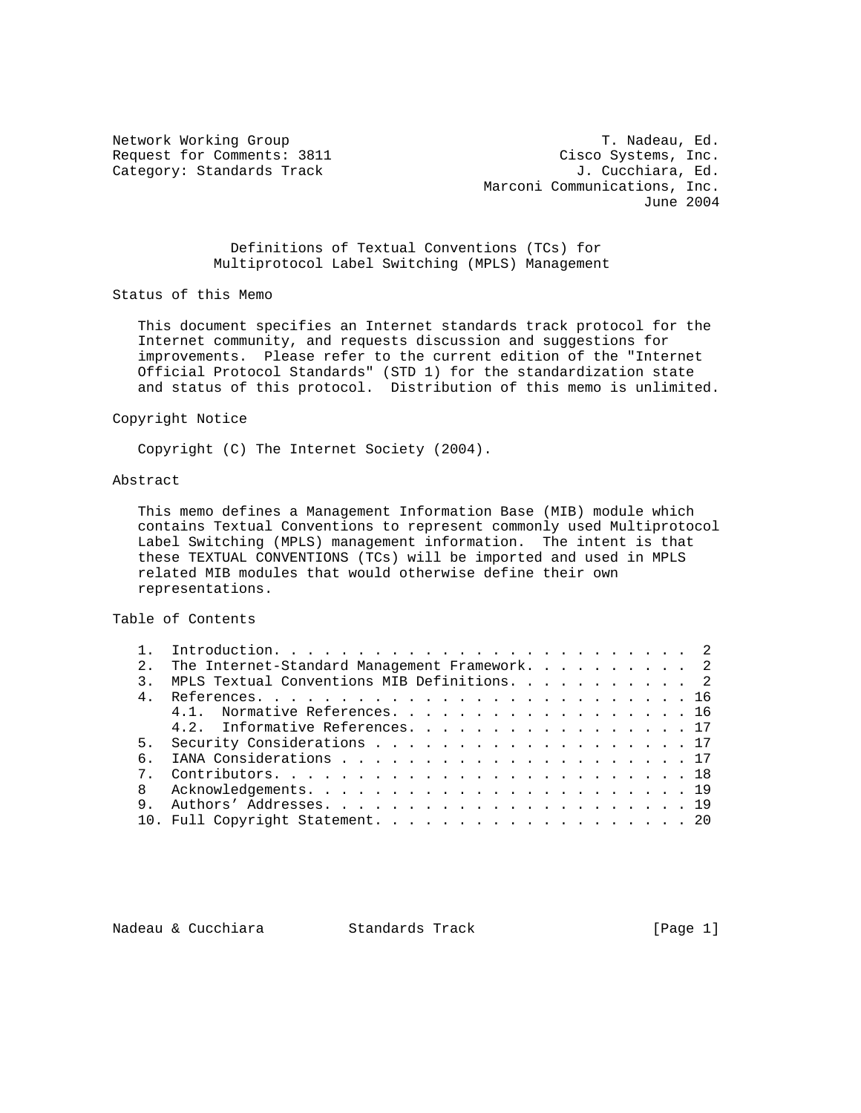Network Working Group T. Nadeau, Ed. Request for Comments: 3811 Cisco Systems, Inc. Category: Standards Track Gategory: Standards Track J. Cucchiara, Ed. Marconi Communications, Inc. June 2004

> Definitions of Textual Conventions (TCs) for Multiprotocol Label Switching (MPLS) Management

Status of this Memo

 This document specifies an Internet standards track protocol for the Internet community, and requests discussion and suggestions for improvements. Please refer to the current edition of the "Internet Official Protocol Standards" (STD 1) for the standardization state and status of this protocol. Distribution of this memo is unlimited.

### Copyright Notice

Copyright (C) The Internet Society (2004).

# Abstract

 This memo defines a Management Information Base (MIB) module which contains Textual Conventions to represent commonly used Multiprotocol Label Switching (MPLS) management information. The intent is that these TEXTUAL CONVENTIONS (TCs) will be imported and used in MPLS related MIB modules that would otherwise define their own representations.

### Table of Contents

|   | The Internet-Standard Management Framework. 2 |  |  |  |  |  |
|---|-----------------------------------------------|--|--|--|--|--|
|   | MPLS Textual Conventions MIB Definitions. 2   |  |  |  |  |  |
|   |                                               |  |  |  |  |  |
|   | 4.1. Normative References. 16                 |  |  |  |  |  |
|   | 4.2. Informative References. 17               |  |  |  |  |  |
|   | 5. Security Considerations 17                 |  |  |  |  |  |
|   |                                               |  |  |  |  |  |
|   |                                               |  |  |  |  |  |
| 8 |                                               |  |  |  |  |  |
| 9 |                                               |  |  |  |  |  |
|   | 10. Full Copyright Statement. 20              |  |  |  |  |  |

Nadeau & Cucchiara Standards Track [Page 1]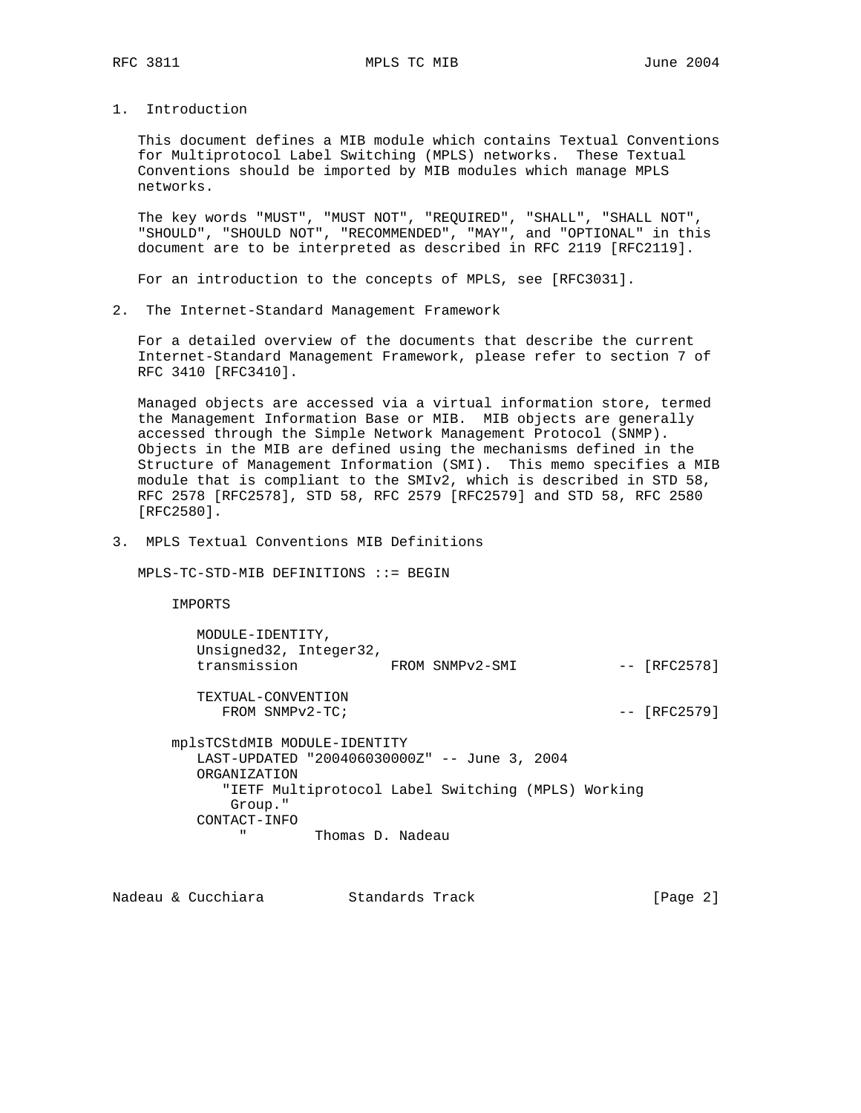1. Introduction

 This document defines a MIB module which contains Textual Conventions for Multiprotocol Label Switching (MPLS) networks. These Textual Conventions should be imported by MIB modules which manage MPLS networks.

 The key words "MUST", "MUST NOT", "REQUIRED", "SHALL", "SHALL NOT", "SHOULD", "SHOULD NOT", "RECOMMENDED", "MAY", and "OPTIONAL" in this document are to be interpreted as described in RFC 2119 [RFC2119].

For an introduction to the concepts of MPLS, see [RFC3031].

2. The Internet-Standard Management Framework

 For a detailed overview of the documents that describe the current Internet-Standard Management Framework, please refer to section 7 of RFC 3410 [RFC3410].

 Managed objects are accessed via a virtual information store, termed the Management Information Base or MIB. MIB objects are generally accessed through the Simple Network Management Protocol (SNMP). Objects in the MIB are defined using the mechanisms defined in the Structure of Management Information (SMI). This memo specifies a MIB module that is compliant to the SMIv2, which is described in STD 58, RFC 2578 [RFC2578], STD 58, RFC 2579 [RFC2579] and STD 58, RFC 2580 [RFC2580].

3. MPLS Textual Conventions MIB Definitions

MPLS-TC-STD-MIB DEFINITIONS ::= BEGIN

IMPORTS

| MODULE-IDENTITY,<br>Unsigned32, Integer32,<br>transmission              | FROM SNMPv2-SMI                                                                                    | $-- [RFC2578]$ |
|-------------------------------------------------------------------------|----------------------------------------------------------------------------------------------------|----------------|
| TEXTUAL-CONVENTION<br>FROM SNMPv2-TC;                                   |                                                                                                    | $-- [RFC2579]$ |
| mplsTCStdMIB MODULE-IDENTITY<br>ORGANIZATION<br>Group."<br>CONTACT-INFO | LAST-UPDATED "2004060300002" -- June 3, 2004<br>"IETF Multiprotocol Label Switching (MPLS) Working |                |
| $\mathbf{u}$                                                            | Thomas D. Nadeau                                                                                   |                |

Nadeau & Cucchiara Standards Track [Page 2]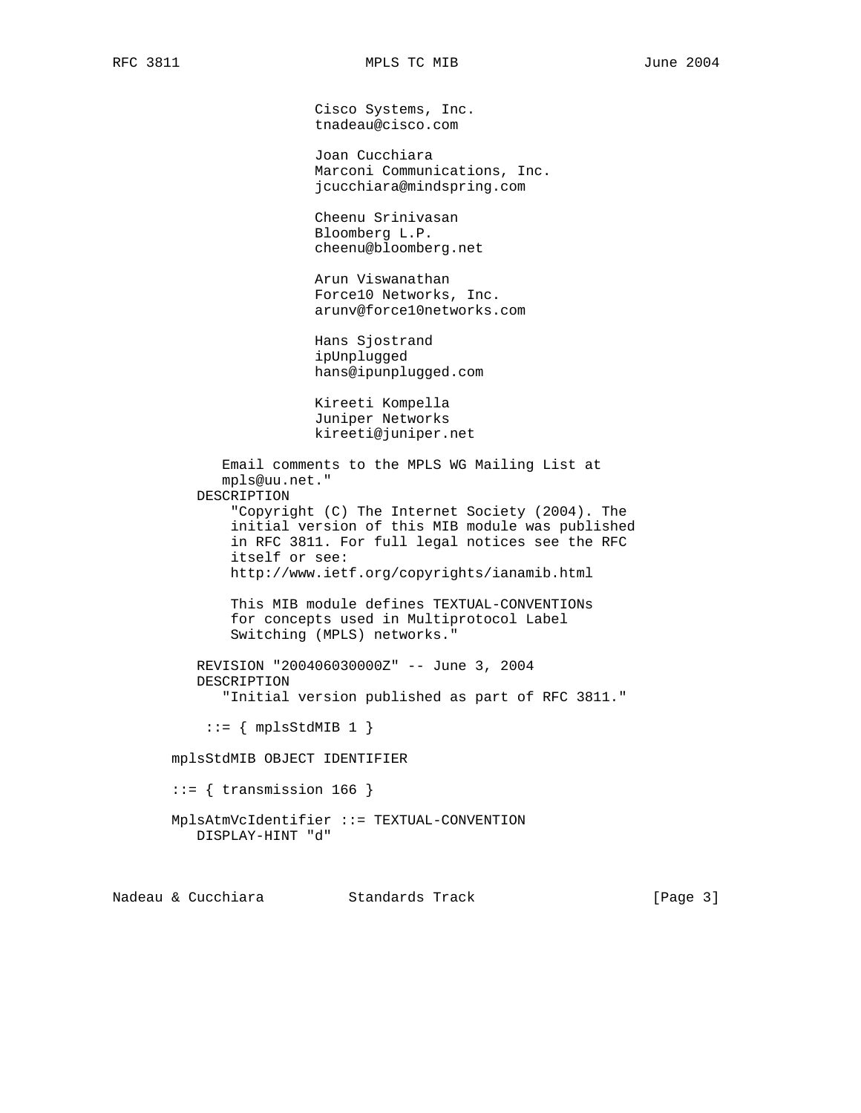Cisco Systems, Inc. tnadeau@cisco.com

 Joan Cucchiara Marconi Communications, Inc. jcucchiara@mindspring.com

 Cheenu Srinivasan Bloomberg L.P. cheenu@bloomberg.net

 Arun Viswanathan Force10 Networks, Inc. arunv@force10networks.com

 Hans Sjostrand ipUnplugged hans@ipunplugged.com

 Kireeti Kompella Juniper Networks kireeti@juniper.net

 Email comments to the MPLS WG Mailing List at mpls@uu.net." DESCRIPTION "Copyright (C) The Internet Society (2004). The initial version of this MIB module was published in RFC 3811. For full legal notices see the RFC itself or see: http://www.ietf.org/copyrights/ianamib.html

 This MIB module defines TEXTUAL-CONVENTIONs for concepts used in Multiprotocol Label Switching (MPLS) networks."

 REVISION "200406030000Z" -- June 3, 2004 DESCRIPTION "Initial version published as part of RFC 3811."

 $::= \{ mplsStdMIB 1 \}$ 

mplsStdMIB OBJECT IDENTIFIER

 $::=$  { transmission 166 }

 MplsAtmVcIdentifier ::= TEXTUAL-CONVENTION DISPLAY-HINT "d"

Nadeau & Cucchiara Standards Track [Page 3]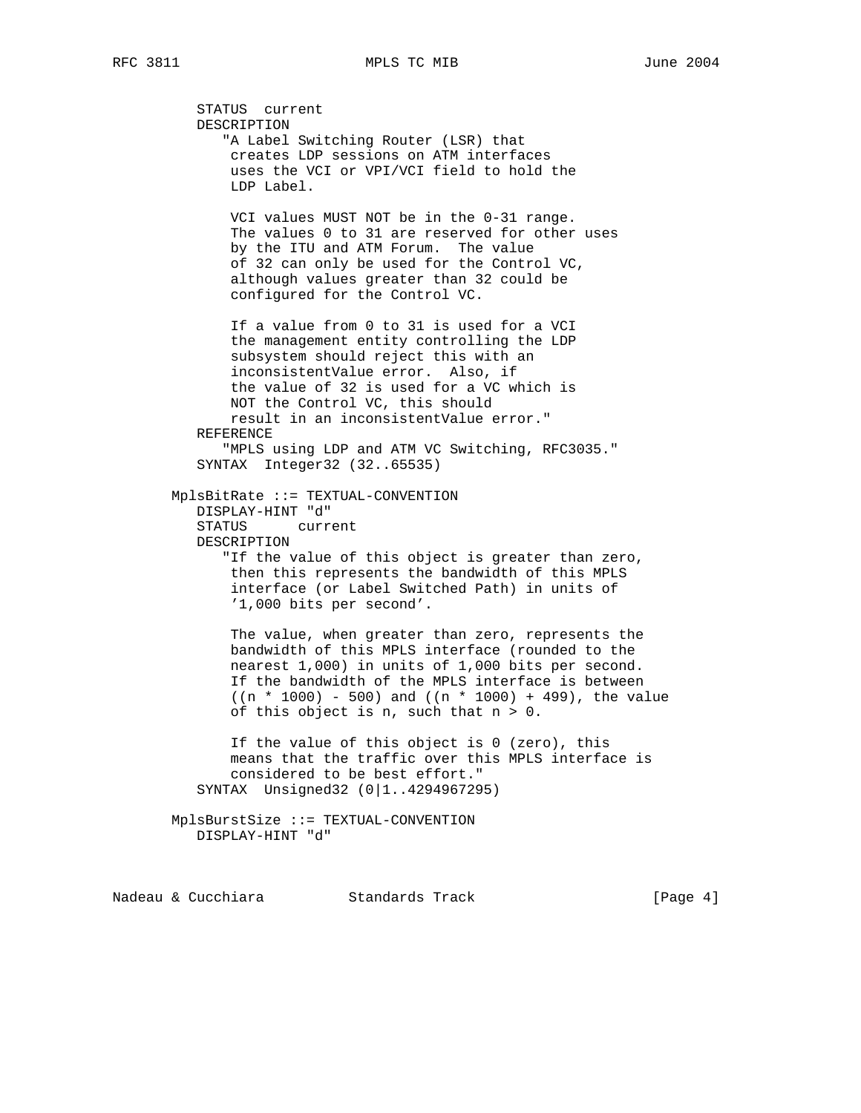STATUS current DESCRIPTION "A Label Switching Router (LSR) that creates LDP sessions on ATM interfaces uses the VCI or VPI/VCI field to hold the LDP Label. VCI values MUST NOT be in the 0-31 range. The values 0 to 31 are reserved for other uses by the ITU and ATM Forum. The value of 32 can only be used for the Control VC, although values greater than 32 could be configured for the Control VC. If a value from 0 to 31 is used for a VCI the management entity controlling the LDP subsystem should reject this with an inconsistentValue error. Also, if the value of 32 is used for a VC which is NOT the Control VC, this should result in an inconsistentValue error." REFERENCE "MPLS using LDP and ATM VC Switching, RFC3035." SYNTAX Integer32 (32..65535) MplsBitRate ::= TEXTUAL-CONVENTION DISPLAY-HINT "d" STATUS current DESCRIPTION "If the value of this object is greater than zero, then this represents the bandwidth of this MPLS interface (or Label Switched Path) in units of '1,000 bits per second'. The value, when greater than zero, represents the bandwidth of this MPLS interface (rounded to the nearest 1,000) in units of 1,000 bits per second. If the bandwidth of the MPLS interface is between  $((n * 1000) - 500)$  and  $((n * 1000) + 499)$ , the value of this object is n, such that  $n > 0$ . If the value of this object is 0 (zero), this means that the traffic over this MPLS interface is considered to be best effort." SYNTAX Unsigned32 (0|1..4294967295) MplsBurstSize ::= TEXTUAL-CONVENTION

```
 DISPLAY-HINT "d"
```
Nadeau & Cucchiara Standards Track [Page 4]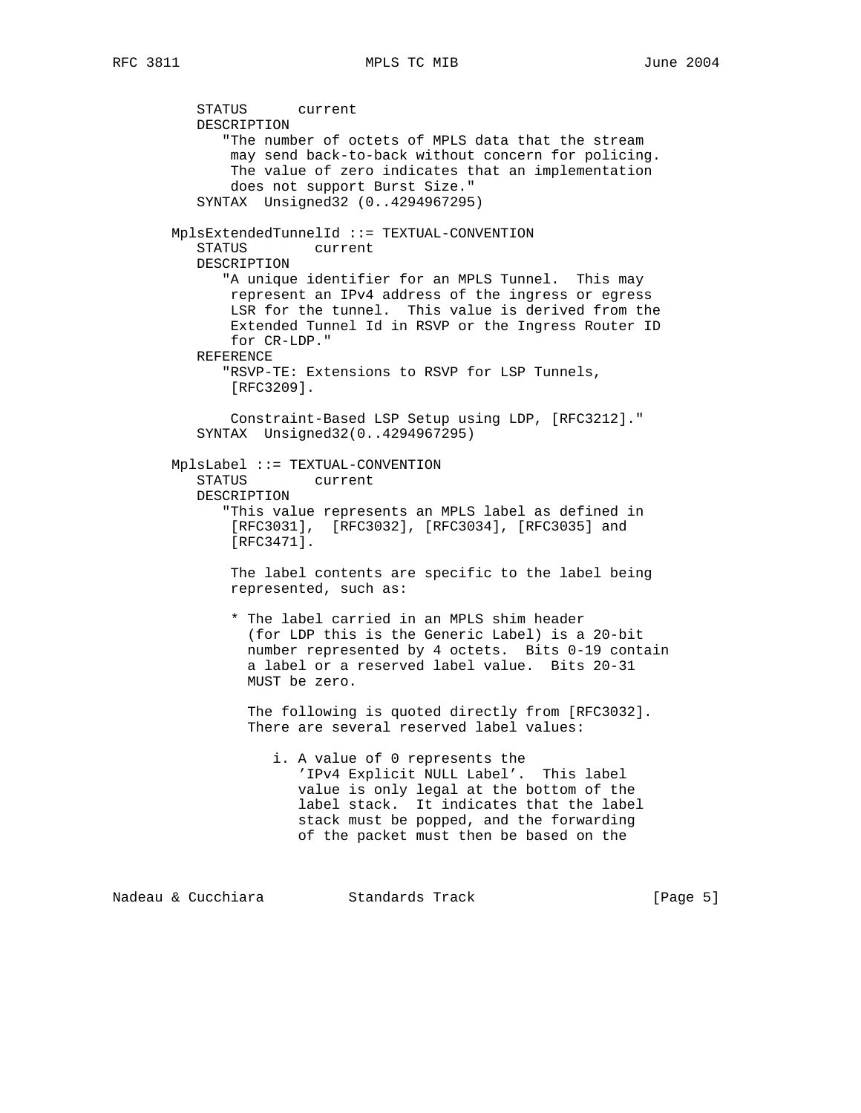STATUS current DESCRIPTION "The number of octets of MPLS data that the stream may send back-to-back without concern for policing. The value of zero indicates that an implementation does not support Burst Size." SYNTAX Unsigned32 (0..4294967295) MplsExtendedTunnelId ::= TEXTUAL-CONVENTION STATUS current DESCRIPTION "A unique identifier for an MPLS Tunnel. This may represent an IPv4 address of the ingress or egress LSR for the tunnel. This value is derived from the Extended Tunnel Id in RSVP or the Ingress Router ID for CR-LDP." REFERENCE "RSVP-TE: Extensions to RSVP for LSP Tunnels, [RFC3209]. Constraint-Based LSP Setup using LDP, [RFC3212]." SYNTAX Unsigned32(0..4294967295) MplsLabel ::= TEXTUAL-CONVENTION STATUS current DESCRIPTION "This value represents an MPLS label as defined in [RFC3031], [RFC3032], [RFC3034], [RFC3035] and [RFC3471]. The label contents are specific to the label being represented, such as: \* The label carried in an MPLS shim header (for LDP this is the Generic Label) is a 20-bit number represented by 4 octets. Bits 0-19 contain a label or a reserved label value. Bits 20-31 MUST be zero. The following is quoted directly from [RFC3032]. There are several reserved label values: i. A value of 0 represents the 'IPv4 Explicit NULL Label'. This label value is only legal at the bottom of the label stack. It indicates that the label stack must be popped, and the forwarding of the packet must then be based on the

Nadeau & Cucchiara Standards Track [Page 5]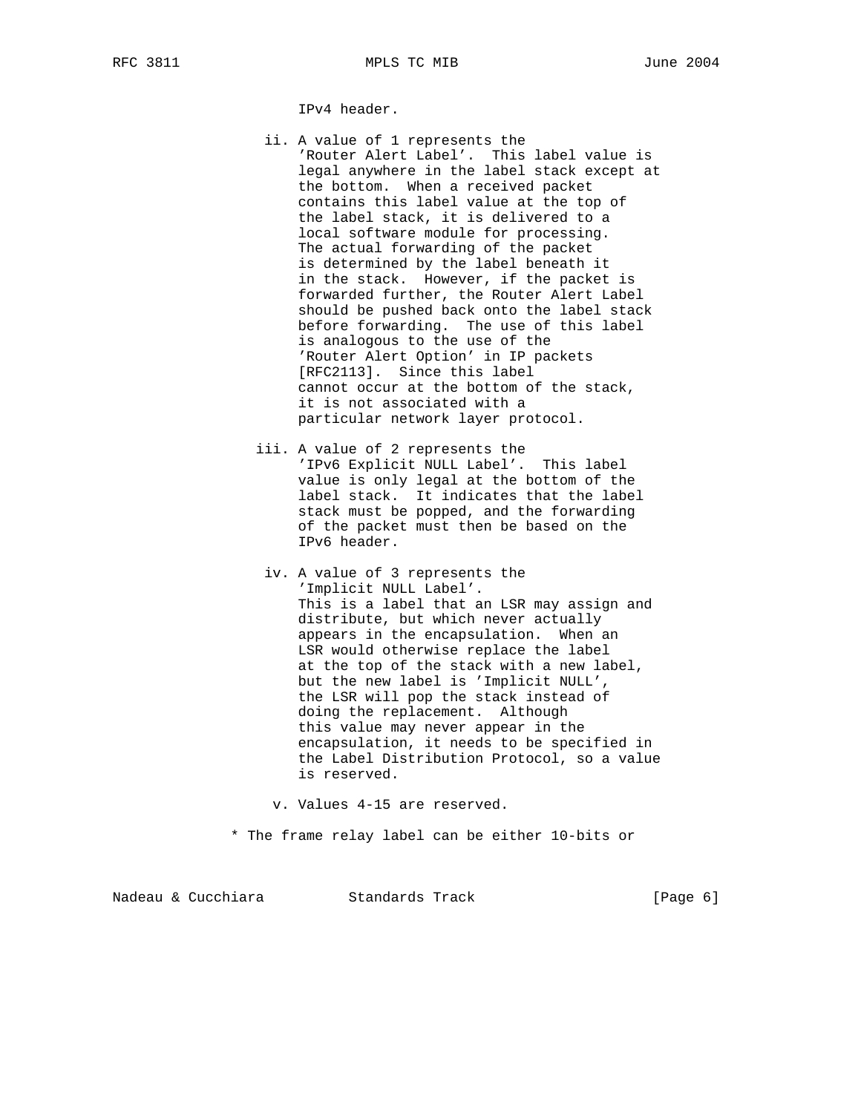IPv4 header.

- ii. A value of 1 represents the 'Router Alert Label'. This label value is legal anywhere in the label stack except at the bottom. When a received packet contains this label value at the top of the label stack, it is delivered to a local software module for processing. The actual forwarding of the packet is determined by the label beneath it in the stack. However, if the packet is forwarded further, the Router Alert Label should be pushed back onto the label stack before forwarding. The use of this label is analogous to the use of the 'Router Alert Option' in IP packets [RFC2113]. Since this label cannot occur at the bottom of the stack, it is not associated with a particular network layer protocol.
- iii. A value of 2 represents the 'IPv6 Explicit NULL Label'. This label value is only legal at the bottom of the label stack. It indicates that the label stack must be popped, and the forwarding of the packet must then be based on the IPv6 header.
- iv. A value of 3 represents the 'Implicit NULL Label'. This is a label that an LSR may assign and distribute, but which never actually appears in the encapsulation. When an LSR would otherwise replace the label at the top of the stack with a new label, but the new label is 'Implicit NULL', the LSR will pop the stack instead of doing the replacement. Although this value may never appear in the encapsulation, it needs to be specified in the Label Distribution Protocol, so a value is reserved.

v. Values 4-15 are reserved.

\* The frame relay label can be either 10-bits or

|  | Nadeau & Cucchiara | Standards Track | [Page 6] |  |
|--|--------------------|-----------------|----------|--|
|--|--------------------|-----------------|----------|--|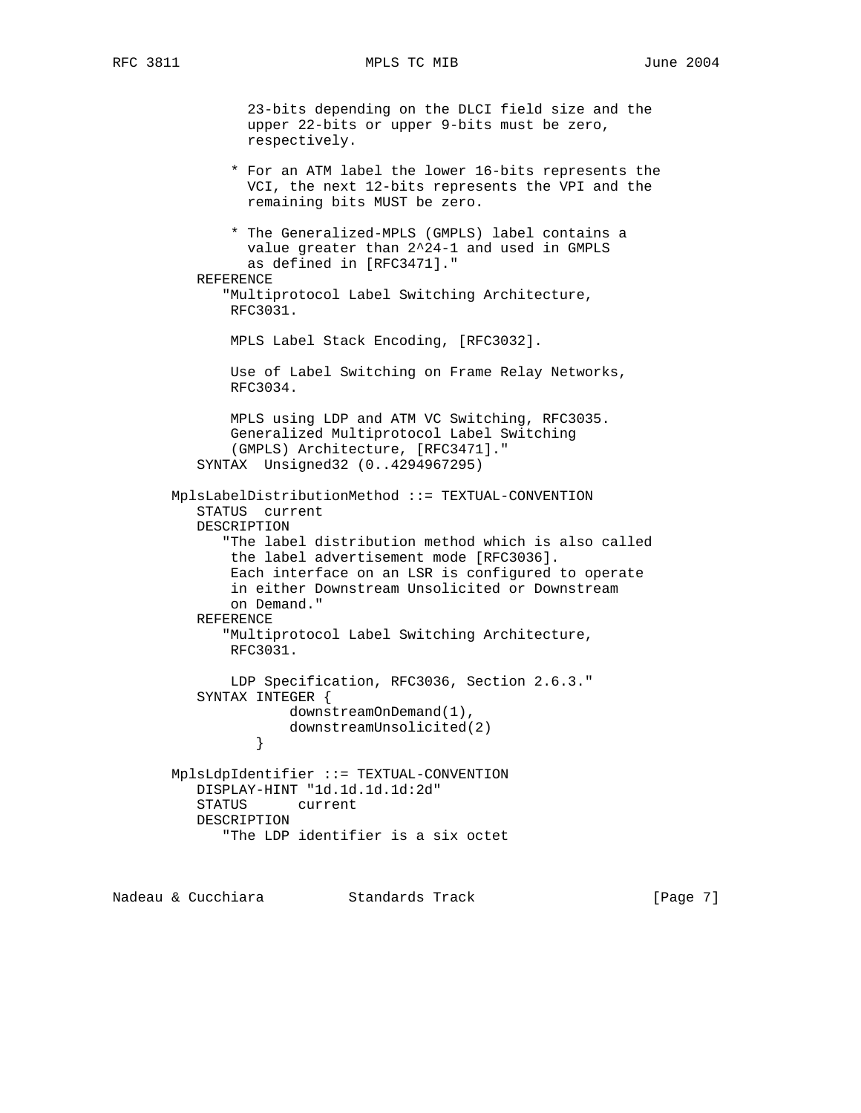23-bits depending on the DLCI field size and the upper 22-bits or upper 9-bits must be zero, respectively. \* For an ATM label the lower 16-bits represents the VCI, the next 12-bits represents the VPI and the remaining bits MUST be zero. \* The Generalized-MPLS (GMPLS) label contains a value greater than 2^24-1 and used in GMPLS as defined in [RFC3471]." REFERENCE "Multiprotocol Label Switching Architecture, RFC3031. MPLS Label Stack Encoding, [RFC3032]. Use of Label Switching on Frame Relay Networks, RFC3034. MPLS using LDP and ATM VC Switching, RFC3035. Generalized Multiprotocol Label Switching (GMPLS) Architecture, [RFC3471]." SYNTAX Unsigned32 (0..4294967295) MplsLabelDistributionMethod ::= TEXTUAL-CONVENTION STATUS current DESCRIPTION "The label distribution method which is also called the label advertisement mode [RFC3036]. Each interface on an LSR is configured to operate in either Downstream Unsolicited or Downstream on Demand." REFERENCE "Multiprotocol Label Switching Architecture, RFC3031. LDP Specification, RFC3036, Section 2.6.3." SYNTAX INTEGER { downstreamOnDemand(1), downstreamUnsolicited(2)<br>} } MplsLdpIdentifier ::= TEXTUAL-CONVENTION DISPLAY-HINT "1d.1d.1d.1d:2d" STATUS current DESCRIPTION "The LDP identifier is a six octet

Nadeau & Cucchiara Standards Track [Page 7]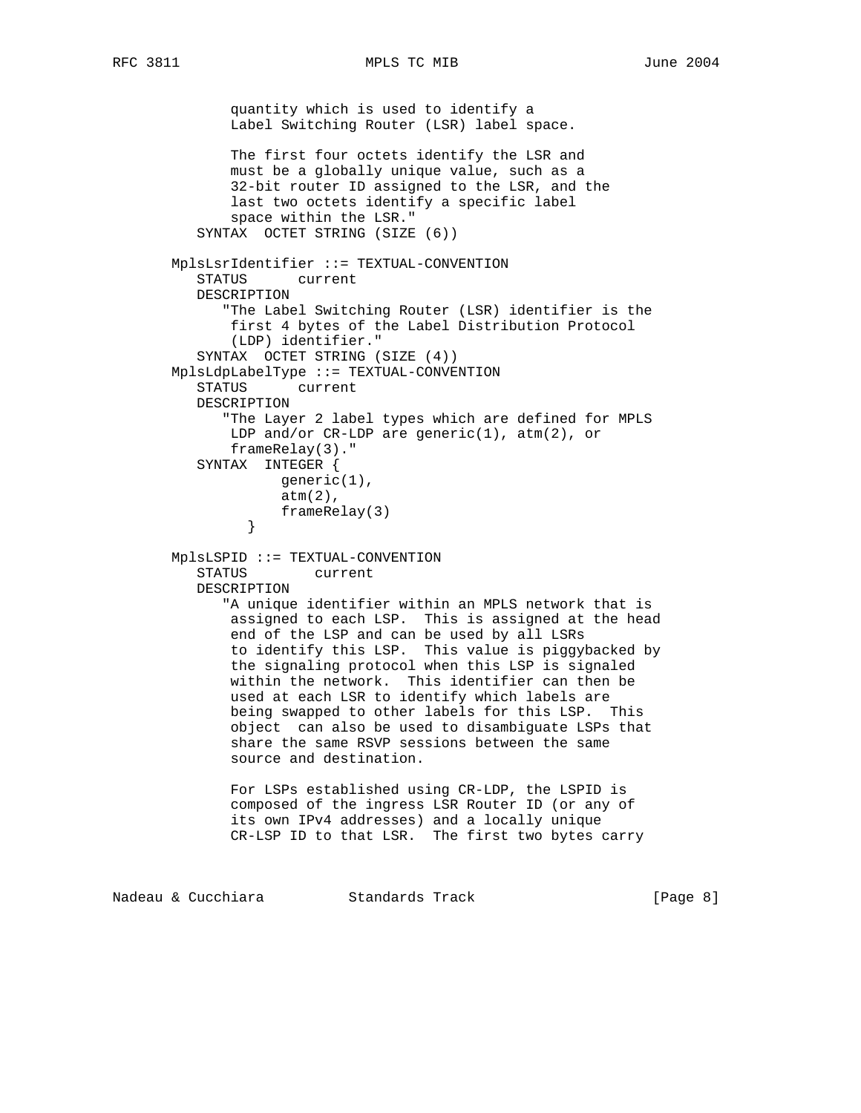```
 quantity which is used to identify a
               Label Switching Router (LSR) label space.
               The first four octets identify the LSR and
               must be a globally unique value, such as a
               32-bit router ID assigned to the LSR, and the
               last two octets identify a specific label
               space within the LSR."
           SYNTAX OCTET STRING (SIZE (6))
        MplsLsrIdentifier ::= TEXTUAL-CONVENTION
           STATUS current
           DESCRIPTION
              "The Label Switching Router (LSR) identifier is the
               first 4 bytes of the Label Distribution Protocol
               (LDP) identifier."
           SYNTAX OCTET STRING (SIZE (4))
        MplsLdpLabelType ::= TEXTUAL-CONVENTION
           STATUS current
           DESCRIPTION
              "The Layer 2 label types which are defined for MPLS
              LDP and/or CR-LDP are generic(1), atm(2), or
               frameRelay(3)."
           SYNTAX INTEGER {
                     generic(1),
                    atm(2),
                    frameRelay(3)
 }
        MplsLSPID ::= TEXTUAL-CONVENTION
           STATUS current
           DESCRIPTION
              "A unique identifier within an MPLS network that is
               assigned to each LSP. This is assigned at the head
               end of the LSP and can be used by all LSRs
               to identify this LSP. This value is piggybacked by
               the signaling protocol when this LSP is signaled
               within the network. This identifier can then be
               used at each LSR to identify which labels are
               being swapped to other labels for this LSP. This
               object can also be used to disambiguate LSPs that
               share the same RSVP sessions between the same
               source and destination.
               For LSPs established using CR-LDP, the LSPID is
               composed of the ingress LSR Router ID (or any of
               its own IPv4 addresses) and a locally unique
               CR-LSP ID to that LSR. The first two bytes carry
Nadeau & Cucchiara             Standards Track                     [Page 8]
```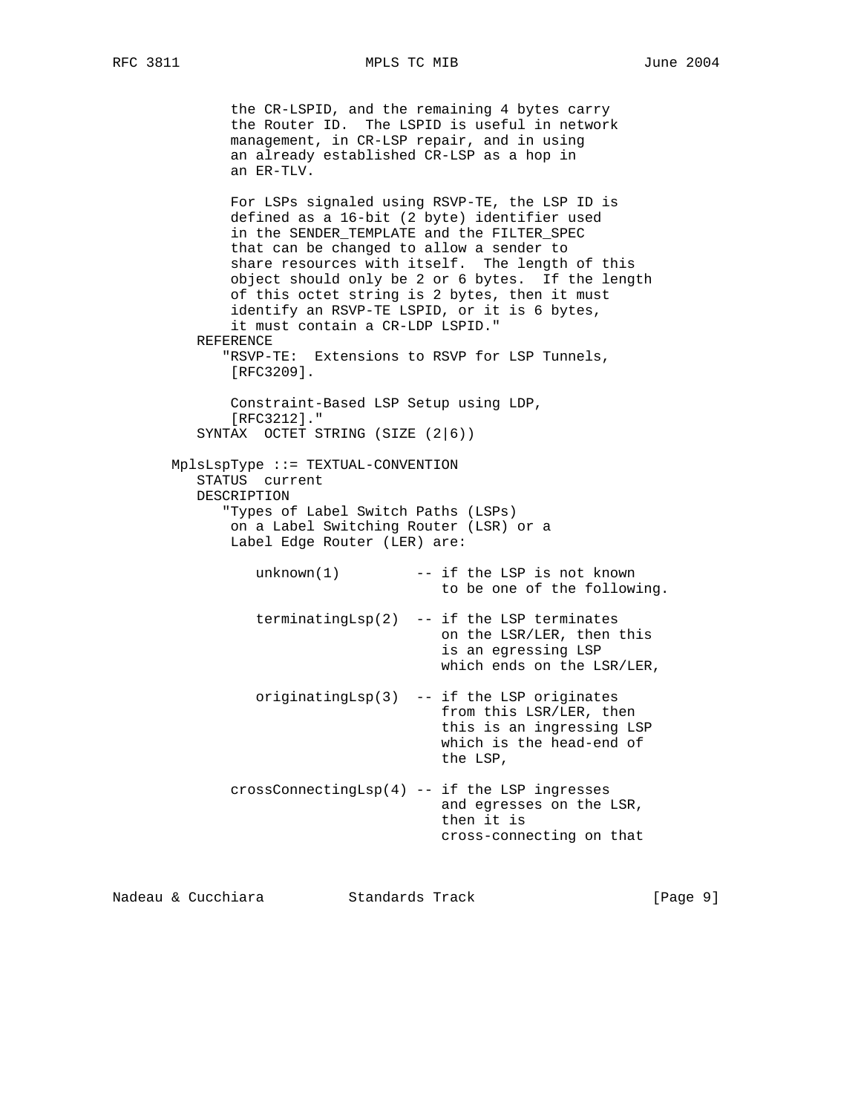the CR-LSPID, and the remaining 4 bytes carry the Router ID. The LSPID is useful in network management, in CR-LSP repair, and in using an already established CR-LSP as a hop in an ER-TLV. For LSPs signaled using RSVP-TE, the LSP ID is defined as a 16-bit (2 byte) identifier used in the SENDER\_TEMPLATE and the FILTER\_SPEC that can be changed to allow a sender to share resources with itself. The length of this object should only be 2 or 6 bytes. If the length of this octet string is 2 bytes, then it must identify an RSVP-TE LSPID, or it is 6 bytes, it must contain a CR-LDP LSPID." REFERENCE "RSVP-TE: Extensions to RSVP for LSP Tunnels, [RFC3209]. Constraint-Based LSP Setup using LDP, [RFC3212]." SYNTAX OCTET STRING (SIZE (2|6)) MplsLspType ::= TEXTUAL-CONVENTION STATUS current DESCRIPTION "Types of Label Switch Paths (LSPs) on a Label Switching Router (LSR) or a Label Edge Router (LER) are:  $unknown(1)$  -- if the LSP is not known to be one of the following. terminatingLsp(2) -- if the LSP terminates on the LSR/LER, then this is an egressing LSP which ends on the LSR/LER, originatingLsp(3) -- if the LSP originates from this LSR/LER, then this is an ingressing LSP which is the head-end of the LSP, crossConnectingLsp(4) -- if the LSP ingresses and egresses on the LSR, then it is cross-connecting on that

Nadeau & Cucchiara Standards Track [Page 9]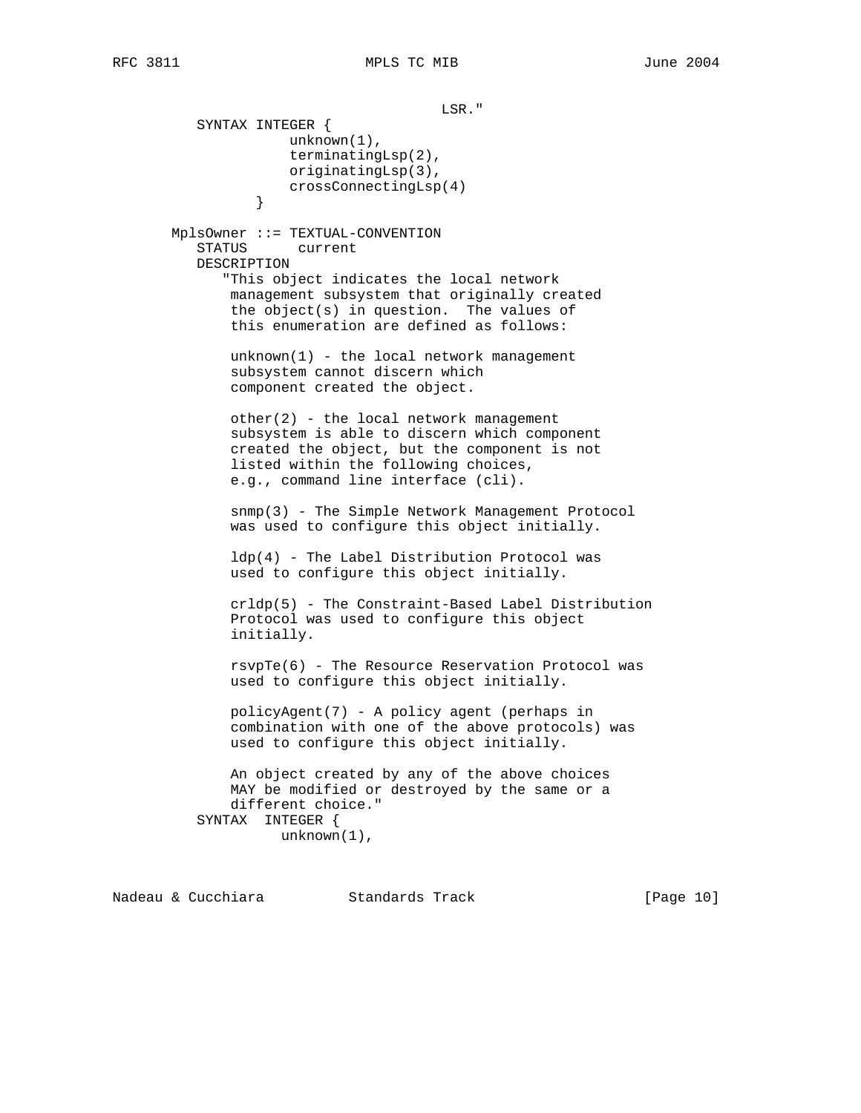LSR." SYNTAX INTEGER { unknown(1), terminatingLsp(2), originatingLsp(3), crossConnectingLsp(4)<br>} } MplsOwner ::= TEXTUAL-CONVENTION STATUS current DESCRIPTION "This object indicates the local network management subsystem that originally created the object(s) in question. The values of this enumeration are defined as follows: unknown(1) - the local network management subsystem cannot discern which component created the object. other(2) - the local network management subsystem is able to discern which component created the object, but the component is not listed within the following choices, e.g., command line interface (cli). snmp(3) - The Simple Network Management Protocol was used to configure this object initially. ldp(4) - The Label Distribution Protocol was used to configure this object initially. crldp(5) - The Constraint-Based Label Distribution Protocol was used to configure this object initially. rsvpTe(6) - The Resource Reservation Protocol was used to configure this object initially. policyAgent(7) - A policy agent (perhaps in combination with one of the above protocols) was used to configure this object initially. An object created by any of the above choices MAY be modified or destroyed by the same or a different choice." SYNTAX INTEGER { unknown(1),

Nadeau & Cucchiara Standards Track [Page 10]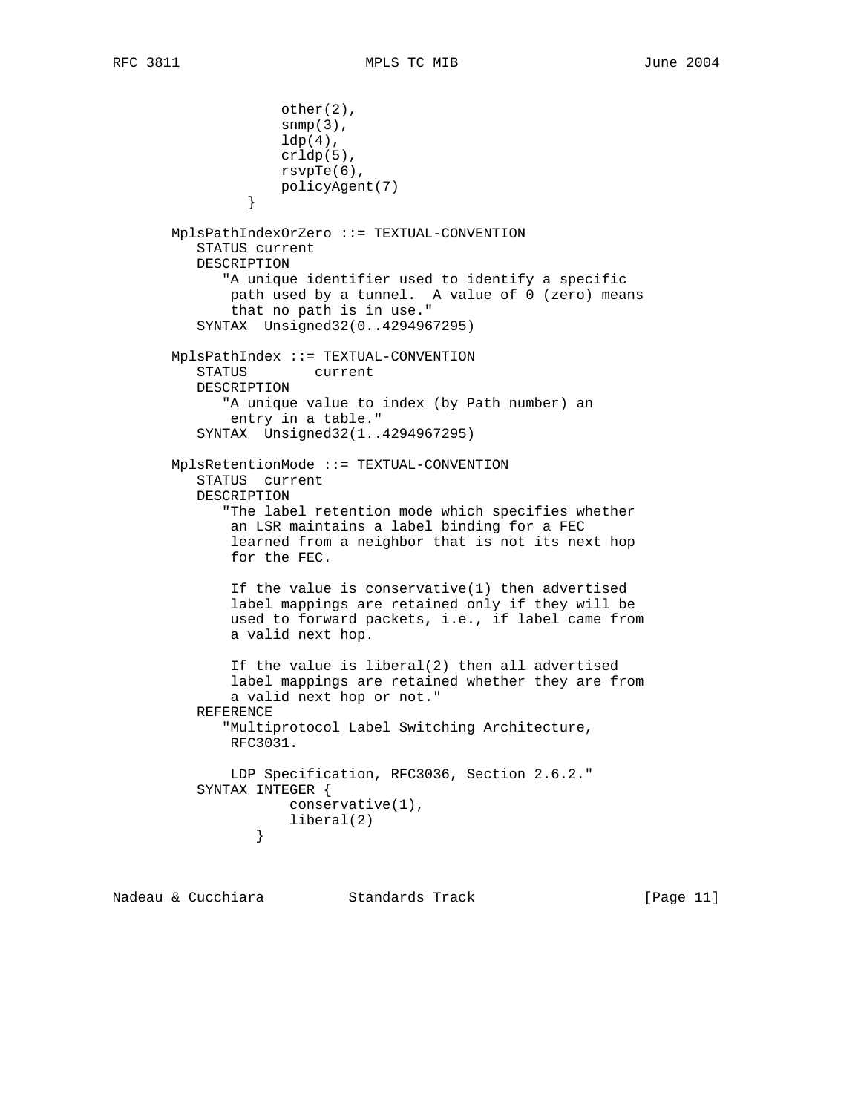```
 other(2),
                    snmp(3),
                   ldp(4),
                    crldp(5),
                    rsvpTe(6),
                policyAgent(7)<br>}
 }
       MplsPathIndexOrZero ::= TEXTUAL-CONVENTION
          STATUS current
          DESCRIPTION
              "A unique identifier used to identify a specific
              path used by a tunnel. A value of 0 (zero) means
              that no path is in use."
          SYNTAX Unsigned32(0..4294967295)
       MplsPathIndex ::= TEXTUAL-CONVENTION
          STATUS current
          DESCRIPTION
              "A unique value to index (by Path number) an
              entry in a table."
          SYNTAX Unsigned32(1..4294967295)
       MplsRetentionMode ::= TEXTUAL-CONVENTION
          STATUS current
          DESCRIPTION
              "The label retention mode which specifies whether
              an LSR maintains a label binding for a FEC
              learned from a neighbor that is not its next hop
              for the FEC.
              If the value is conservative(1) then advertised
              label mappings are retained only if they will be
              used to forward packets, i.e., if label came from
              a valid next hop.
              If the value is liberal(2) then all advertised
              label mappings are retained whether they are from
              a valid next hop or not."
          REFERENCE
              "Multiprotocol Label Switching Architecture,
              RFC3031.
              LDP Specification, RFC3036, Section 2.6.2."
          SYNTAX INTEGER {
                     conservative(1),
                 liberal(2)<br>}
 }
```
Nadeau & Cucchiara Standards Track [Page 11]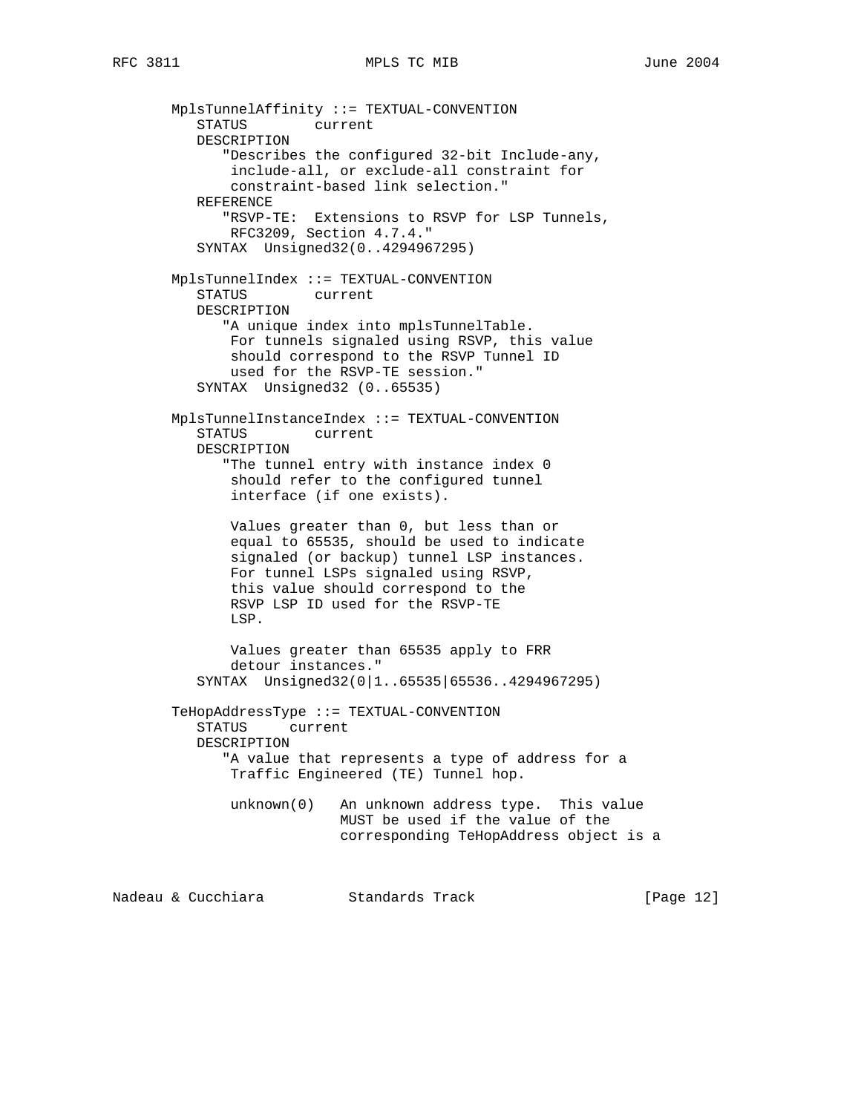MplsTunnelAffinity ::= TEXTUAL-CONVENTION STATUS current DESCRIPTION "Describes the configured 32-bit Include-any, include-all, or exclude-all constraint for constraint-based link selection." REFERENCE "RSVP-TE: Extensions to RSVP for LSP Tunnels, RFC3209, Section 4.7.4." SYNTAX Unsigned32(0..4294967295) MplsTunnelIndex ::= TEXTUAL-CONVENTION STATUS current DESCRIPTION "A unique index into mplsTunnelTable. For tunnels signaled using RSVP, this value should correspond to the RSVP Tunnel ID used for the RSVP-TE session." SYNTAX Unsigned32 (0..65535) MplsTunnelInstanceIndex ::= TEXTUAL-CONVENTION STATUS current DESCRIPTION "The tunnel entry with instance index 0 should refer to the configured tunnel interface (if one exists). Values greater than 0, but less than or equal to 65535, should be used to indicate signaled (or backup) tunnel LSP instances. For tunnel LSPs signaled using RSVP, this value should correspond to the RSVP LSP ID used for the RSVP-TE LSP. Values greater than 65535 apply to FRR detour instances." SYNTAX Unsigned32(0|1..65535|65536..4294967295) TeHopAddressType ::= TEXTUAL-CONVENTION STATUS current DESCRIPTION "A value that represents a type of address for a Traffic Engineered (TE) Tunnel hop. unknown(0) An unknown address type. This value MUST be used if the value of the corresponding TeHopAddress object is a

Nadeau & Cucchiara Standards Track [Page 12]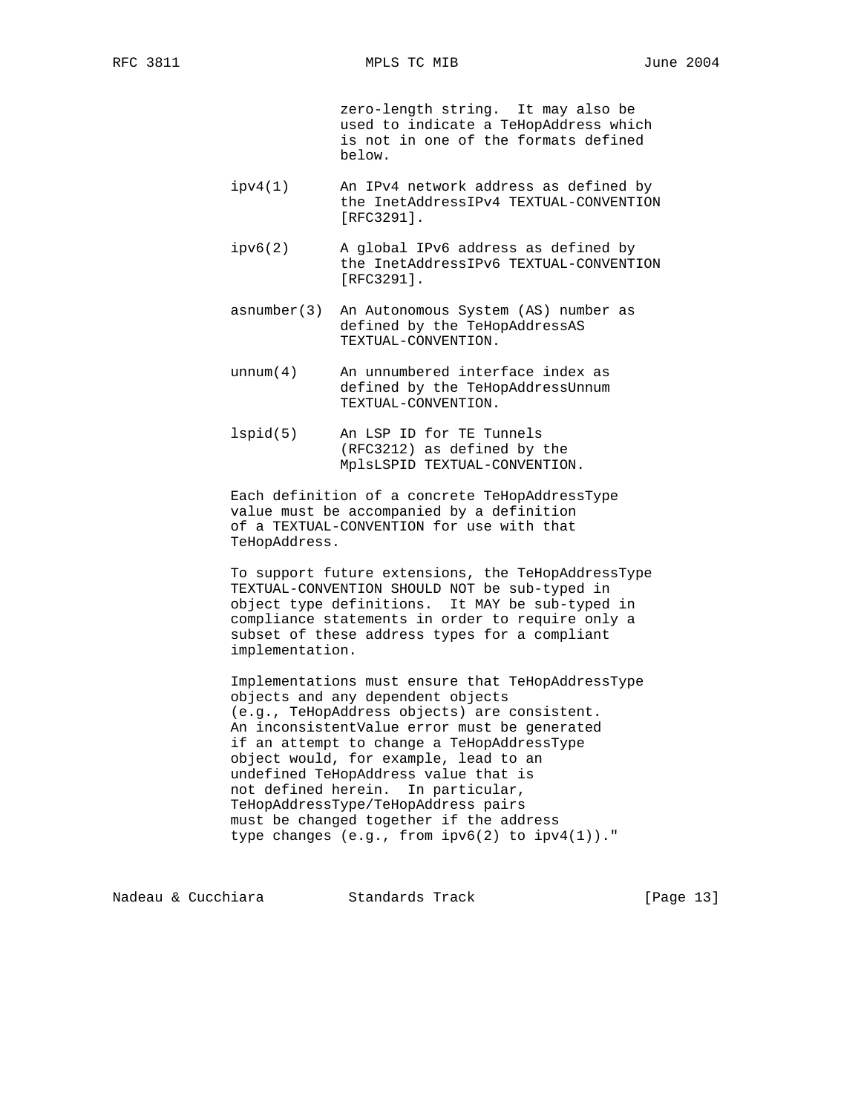zero-length string. It may also be used to indicate a TeHopAddress which is not in one of the formats defined below.

- ipv4(1) An IPv4 network address as defined by the InetAddressIPv4 TEXTUAL-CONVENTION [RFC3291].
- ipv6(2) A global IPv6 address as defined by the InetAddressIPv6 TEXTUAL-CONVENTION [RFC3291].
- asnumber(3) An Autonomous System (AS) number as defined by the TeHopAddressAS TEXTUAL-CONVENTION.
- unnum(4) An unnumbered interface index as defined by the TeHopAddressUnnum TEXTUAL-CONVENTION.
- lspid(5) An LSP ID for TE Tunnels (RFC3212) as defined by the MplsLSPID TEXTUAL-CONVENTION.

 Each definition of a concrete TeHopAddressType value must be accompanied by a definition of a TEXTUAL-CONVENTION for use with that TeHopAddress.

 To support future extensions, the TeHopAddressType TEXTUAL-CONVENTION SHOULD NOT be sub-typed in object type definitions. It MAY be sub-typed in compliance statements in order to require only a subset of these address types for a compliant implementation.

 Implementations must ensure that TeHopAddressType objects and any dependent objects (e.g., TeHopAddress objects) are consistent. An inconsistentValue error must be generated if an attempt to change a TeHopAddressType object would, for example, lead to an undefined TeHopAddress value that is not defined herein. In particular, TeHopAddressType/TeHopAddress pairs must be changed together if the address type changes (e.g., from ipv6(2) to ipv4(1))."

Nadeau & Cucchiara Standards Track [Page 13]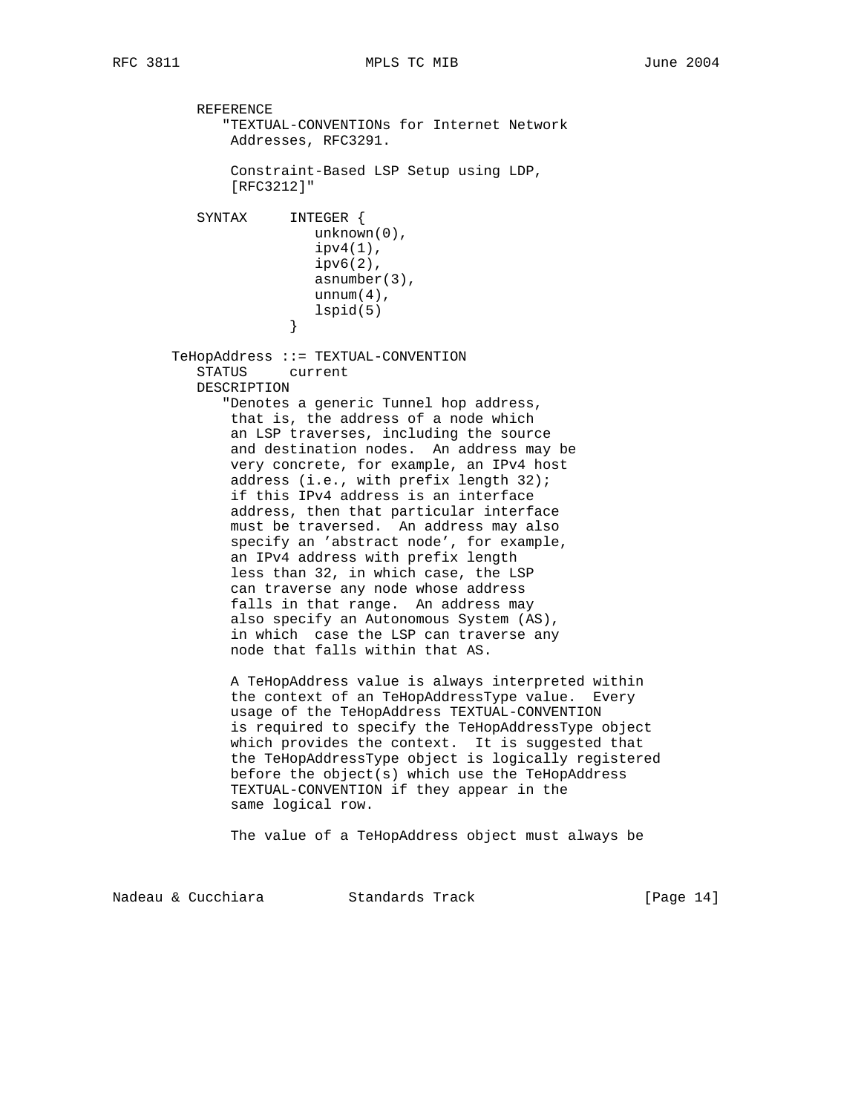REFERENCE "TEXTUAL-CONVENTIONs for Internet Network Addresses, RFC3291. Constraint-Based LSP Setup using LDP, [RFC3212]" SYNTAX INTEGER { unknown(0),  $ipv4(1)$ , ipv6(2), asnumber(3), unnum $(4)$ , lspid(5)<br>} } TeHopAddress ::= TEXTUAL-CONVENTION STATUS current DESCRIPTION "Denotes a generic Tunnel hop address, that is, the address of a node which an LSP traverses, including the source and destination nodes. An address may be very concrete, for example, an IPv4 host address (i.e., with prefix length 32); if this IPv4 address is an interface address, then that particular interface must be traversed. An address may also specify an 'abstract node', for example, an IPv4 address with prefix length less than 32, in which case, the LSP can traverse any node whose address falls in that range. An address may also specify an Autonomous System (AS), in which case the LSP can traverse any node that falls within that AS. A TeHopAddress value is always interpreted within the context of an TeHopAddressType value. Every usage of the TeHopAddress TEXTUAL-CONVENTION is required to specify the TeHopAddressType object which provides the context. It is suggested that the TeHopAddressType object is logically registered before the object(s) which use the TeHopAddress TEXTUAL-CONVENTION if they appear in the same logical row. The value of a TeHopAddress object must always be

Nadeau & Cucchiara Standards Track [Paqe 14]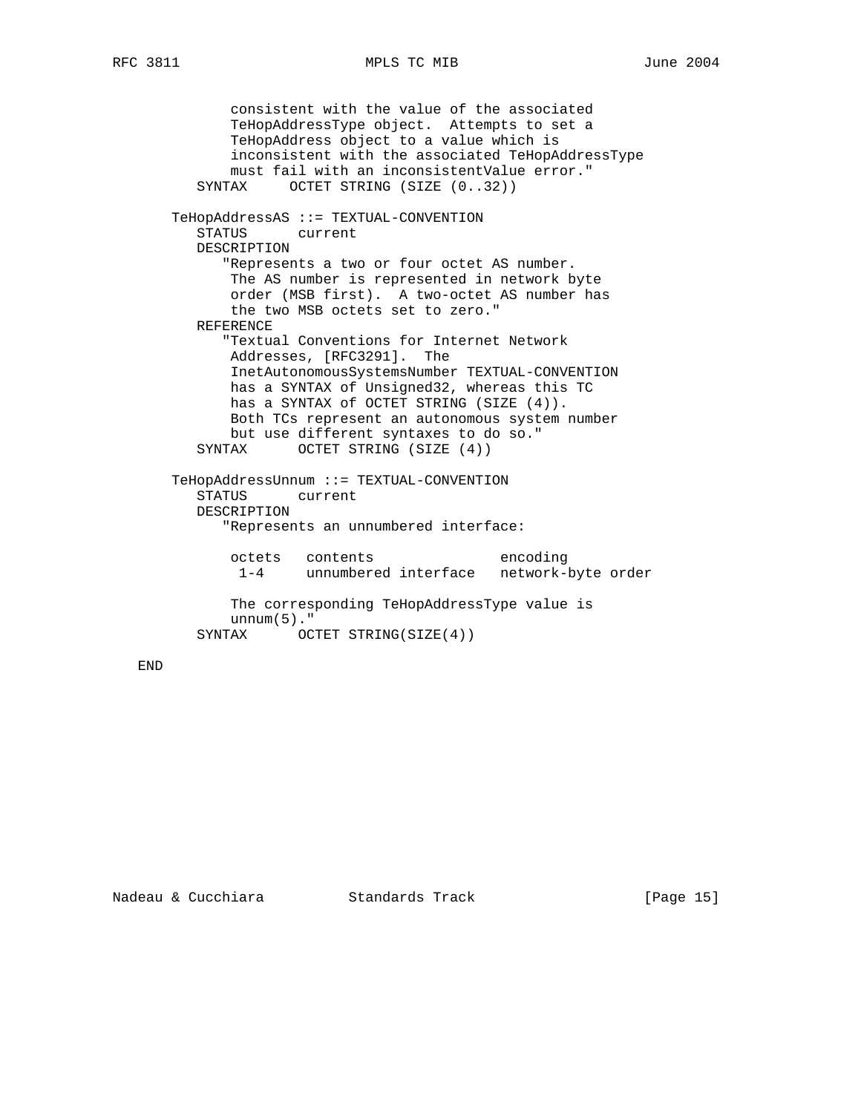consistent with the value of the associated TeHopAddressType object. Attempts to set a TeHopAddress object to a value which is inconsistent with the associated TeHopAddressType must fail with an inconsistentValue error." SYNTAX OCTET STRING (SIZE (0..32)) TeHopAddressAS ::= TEXTUAL-CONVENTION STATUS current DESCRIPTION "Represents a two or four octet AS number. The AS number is represented in network byte order (MSB first). A two-octet AS number has the two MSB octets set to zero." REFERENCE "Textual Conventions for Internet Network Addresses, [RFC3291]. The InetAutonomousSystemsNumber TEXTUAL-CONVENTION has a SYNTAX of Unsigned32, whereas this TC has a SYNTAX of OCTET STRING (SIZE (4)). Both TCs represent an autonomous system number but use different syntaxes to do so." SYNTAX OCTET STRING (SIZE (4)) TeHopAddressUnnum ::= TEXTUAL-CONVENTION STATUS current DESCRIPTION "Represents an unnumbered interface: octets contents encoding 1-4 unnumbered interface network-byte order The corresponding TeHopAddressType value is unnum $(5)$ ." SYNTAX OCTET STRING(SIZE(4))

END

Nadeau & Cucchiara Standards Track [Page 15]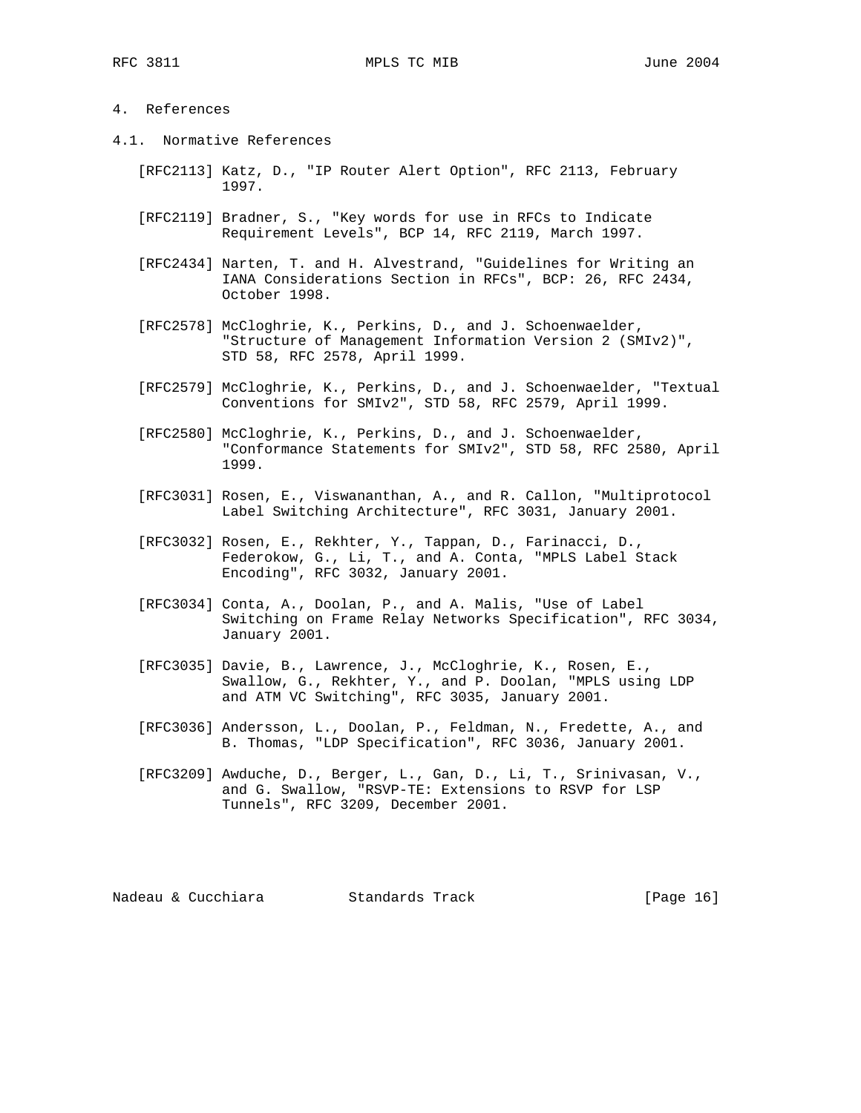## 4. References

- 4.1. Normative References
	- [RFC2113] Katz, D., "IP Router Alert Option", RFC 2113, February 1997.
	- [RFC2119] Bradner, S., "Key words for use in RFCs to Indicate Requirement Levels", BCP 14, RFC 2119, March 1997.
	- [RFC2434] Narten, T. and H. Alvestrand, "Guidelines for Writing an IANA Considerations Section in RFCs", BCP: 26, RFC 2434, October 1998.
	- [RFC2578] McCloghrie, K., Perkins, D., and J. Schoenwaelder, "Structure of Management Information Version 2 (SMIv2)", STD 58, RFC 2578, April 1999.
	- [RFC2579] McCloghrie, K., Perkins, D., and J. Schoenwaelder, "Textual Conventions for SMIv2", STD 58, RFC 2579, April 1999.
	- [RFC2580] McCloghrie, K., Perkins, D., and J. Schoenwaelder, "Conformance Statements for SMIv2", STD 58, RFC 2580, April 1999.
	- [RFC3031] Rosen, E., Viswananthan, A., and R. Callon, "Multiprotocol Label Switching Architecture", RFC 3031, January 2001.
	- [RFC3032] Rosen, E., Rekhter, Y., Tappan, D., Farinacci, D., Federokow, G., Li, T., and A. Conta, "MPLS Label Stack Encoding", RFC 3032, January 2001.
	- [RFC3034] Conta, A., Doolan, P., and A. Malis, "Use of Label Switching on Frame Relay Networks Specification", RFC 3034, January 2001.
	- [RFC3035] Davie, B., Lawrence, J., McCloghrie, K., Rosen, E., Swallow, G., Rekhter, Y., and P. Doolan, "MPLS using LDP and ATM VC Switching", RFC 3035, January 2001.
	- [RFC3036] Andersson, L., Doolan, P., Feldman, N., Fredette, A., and B. Thomas, "LDP Specification", RFC 3036, January 2001.
	- [RFC3209] Awduche, D., Berger, L., Gan, D., Li, T., Srinivasan, V., and G. Swallow, "RSVP-TE: Extensions to RSVP for LSP Tunnels", RFC 3209, December 2001.

Nadeau & Cucchiara Standards Track [Page 16]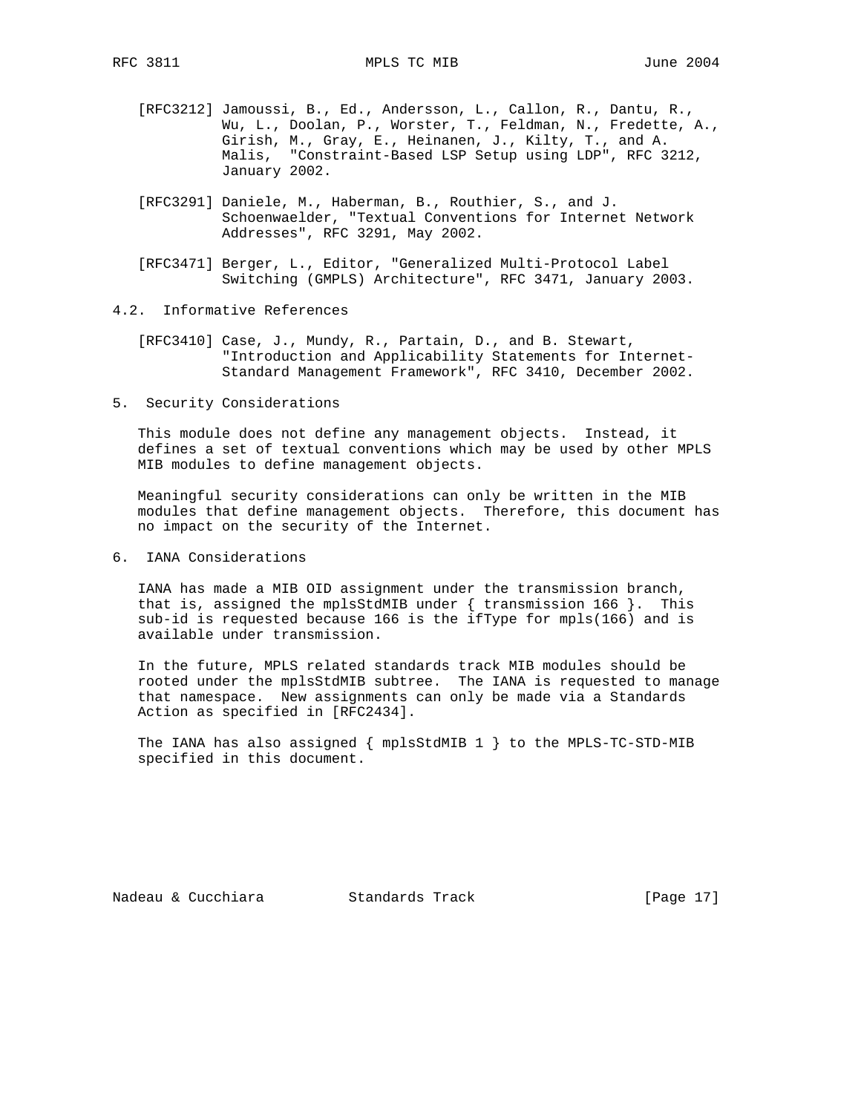- [RFC3212] Jamoussi, B., Ed., Andersson, L., Callon, R., Dantu, R., Wu, L., Doolan, P., Worster, T., Feldman, N., Fredette, A., Girish, M., Gray, E., Heinanen, J., Kilty, T., and A. Malis, "Constraint-Based LSP Setup using LDP", RFC 3212, January 2002.
- [RFC3291] Daniele, M., Haberman, B., Routhier, S., and J. Schoenwaelder, "Textual Conventions for Internet Network Addresses", RFC 3291, May 2002.
- [RFC3471] Berger, L., Editor, "Generalized Multi-Protocol Label Switching (GMPLS) Architecture", RFC 3471, January 2003.
- 4.2. Informative References
	- [RFC3410] Case, J., Mundy, R., Partain, D., and B. Stewart, "Introduction and Applicability Statements for Internet- Standard Management Framework", RFC 3410, December 2002.
- 5. Security Considerations

 This module does not define any management objects. Instead, it defines a set of textual conventions which may be used by other MPLS MIB modules to define management objects.

 Meaningful security considerations can only be written in the MIB modules that define management objects. Therefore, this document has no impact on the security of the Internet.

6. IANA Considerations

 IANA has made a MIB OID assignment under the transmission branch, that is, assigned the mplsStdMIB under { transmission 166 }. This sub-id is requested because 166 is the ifType for mpls(166) and is available under transmission.

 In the future, MPLS related standards track MIB modules should be rooted under the mplsStdMIB subtree. The IANA is requested to manage that namespace. New assignments can only be made via a Standards Action as specified in [RFC2434].

 The IANA has also assigned { mplsStdMIB 1 } to the MPLS-TC-STD-MIB specified in this document.

Nadeau & Cucchiara Standards Track [Page 17]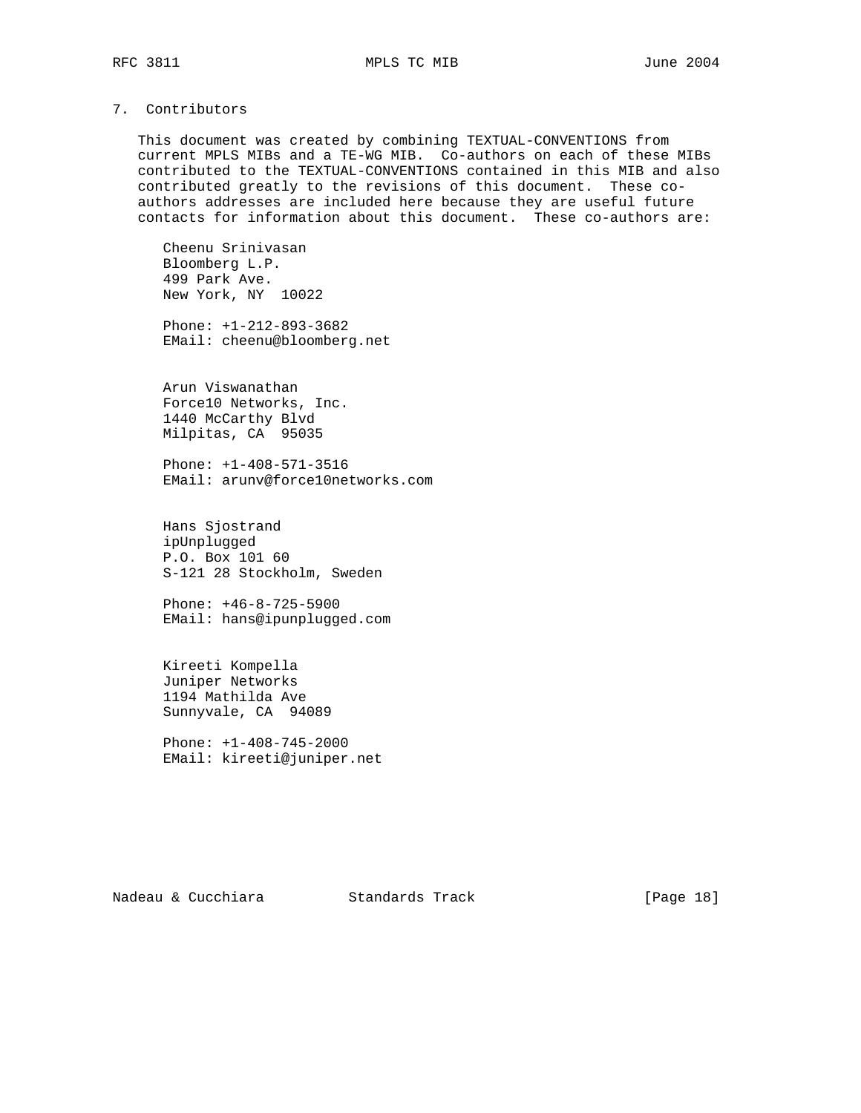# 7. Contributors

 This document was created by combining TEXTUAL-CONVENTIONS from current MPLS MIBs and a TE-WG MIB. Co-authors on each of these MIBs contributed to the TEXTUAL-CONVENTIONS contained in this MIB and also contributed greatly to the revisions of this document. These co authors addresses are included here because they are useful future contacts for information about this document. These co-authors are:

 Cheenu Srinivasan Bloomberg L.P. 499 Park Ave. New York, NY 10022

 Phone: +1-212-893-3682 EMail: cheenu@bloomberg.net

 Arun Viswanathan Force10 Networks, Inc. 1440 McCarthy Blvd Milpitas, CA 95035

 Phone: +1-408-571-3516 EMail: arunv@force10networks.com

 Hans Sjostrand ipUnplugged P.O. Box 101 60 S-121 28 Stockholm, Sweden

 Phone: +46-8-725-5900 EMail: hans@ipunplugged.com

 Kireeti Kompella Juniper Networks 1194 Mathilda Ave Sunnyvale, CA 94089

 Phone: +1-408-745-2000 EMail: kireeti@juniper.net

Nadeau & Cucchiara Standards Track [Page 18]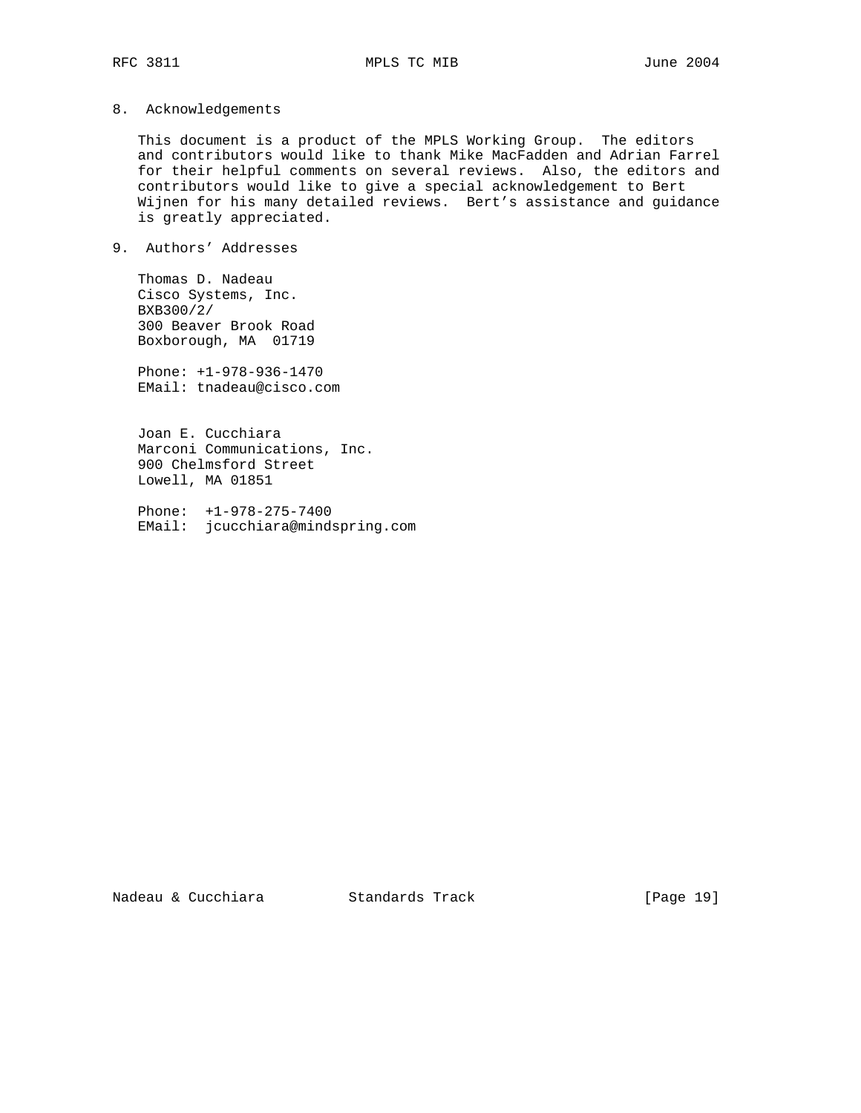8. Acknowledgements

 This document is a product of the MPLS Working Group. The editors and contributors would like to thank Mike MacFadden and Adrian Farrel for their helpful comments on several reviews. Also, the editors and contributors would like to give a special acknowledgement to Bert Wijnen for his many detailed reviews. Bert's assistance and guidance is greatly appreciated.

9. Authors' Addresses

 Thomas D. Nadeau Cisco Systems, Inc. BXB300/2/ 300 Beaver Brook Road Boxborough, MA 01719

 Phone: +1-978-936-1470 EMail: tnadeau@cisco.com

 Joan E. Cucchiara Marconi Communications, Inc. 900 Chelmsford Street Lowell, MA 01851

 Phone: +1-978-275-7400 EMail: jcucchiara@mindspring.com